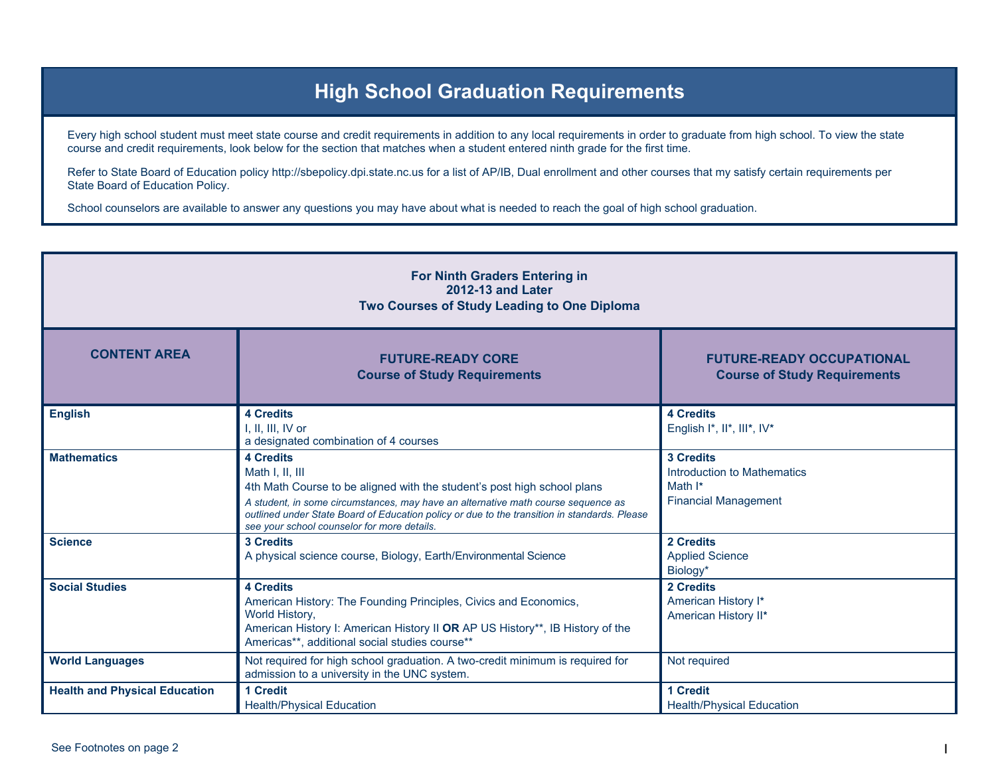## **High School Graduation Requirements**

Every high school student must meet state course and credit requirements in addition to any local requirements in order to graduate from high school. To view the state course and credit requirements, look below for the section that matches when a student entered ninth grade for the first time.

Refer to State Board of Education policy http://sbepolicy.dpi.state.nc.us for a list of AP/IB, Dual enrollment and other courses that my satisfy certain requirements per State Board of Education Policy.

School counselors are available to answer any questions you may have about what is needed to reach the goal of high school graduation.

| <b>For Ninth Graders Entering in</b><br><b>2012-13 and Later</b><br>Two Courses of Study Leading to One Diploma |                                                                                                                                                                                                                                                                                                                                                    |                                                                                    |  |  |
|-----------------------------------------------------------------------------------------------------------------|----------------------------------------------------------------------------------------------------------------------------------------------------------------------------------------------------------------------------------------------------------------------------------------------------------------------------------------------------|------------------------------------------------------------------------------------|--|--|
| <b>CONTENT AREA</b>                                                                                             | <b>FUTURE-READY CORE</b><br><b>Course of Study Requirements</b>                                                                                                                                                                                                                                                                                    | <b>FUTURE-READY OCCUPATIONAL</b><br><b>Course of Study Requirements</b>            |  |  |
| <b>English</b>                                                                                                  | <b>4 Credits</b><br>I. II. III. IV or<br>a designated combination of 4 courses                                                                                                                                                                                                                                                                     | <b>4 Credits</b><br>English I*, II*, III*, IV*                                     |  |  |
| <b>Mathematics</b>                                                                                              | <b>4 Credits</b><br>Math I, II, III<br>4th Math Course to be aligned with the student's post high school plans<br>A student, in some circumstances, may have an alternative math course sequence as<br>outlined under State Board of Education policy or due to the transition in standards. Please<br>see your school counselor for more details. | 3 Credits<br>Introduction to Mathematics<br>Math I*<br><b>Financial Management</b> |  |  |
| <b>Science</b>                                                                                                  | 3 Credits<br>A physical science course, Biology, Earth/Environmental Science                                                                                                                                                                                                                                                                       | 2 Credits<br><b>Applied Science</b><br>Biology*                                    |  |  |
| <b>Social Studies</b>                                                                                           | <b>4 Credits</b><br>American History: The Founding Principles, Civics and Economics,<br>World History,<br>American History I: American History II OR AP US History**, IB History of the<br>Americas**, additional social studies course**                                                                                                          | 2 Credits<br>American History I*<br>American History II*                           |  |  |
| <b>World Languages</b>                                                                                          | Not required for high school graduation. A two-credit minimum is required for<br>admission to a university in the UNC system.                                                                                                                                                                                                                      | Not required                                                                       |  |  |
| <b>Health and Physical Education</b>                                                                            | 1 Credit<br><b>Health/Physical Education</b>                                                                                                                                                                                                                                                                                                       | 1 Credit<br><b>Health/Physical Education</b>                                       |  |  |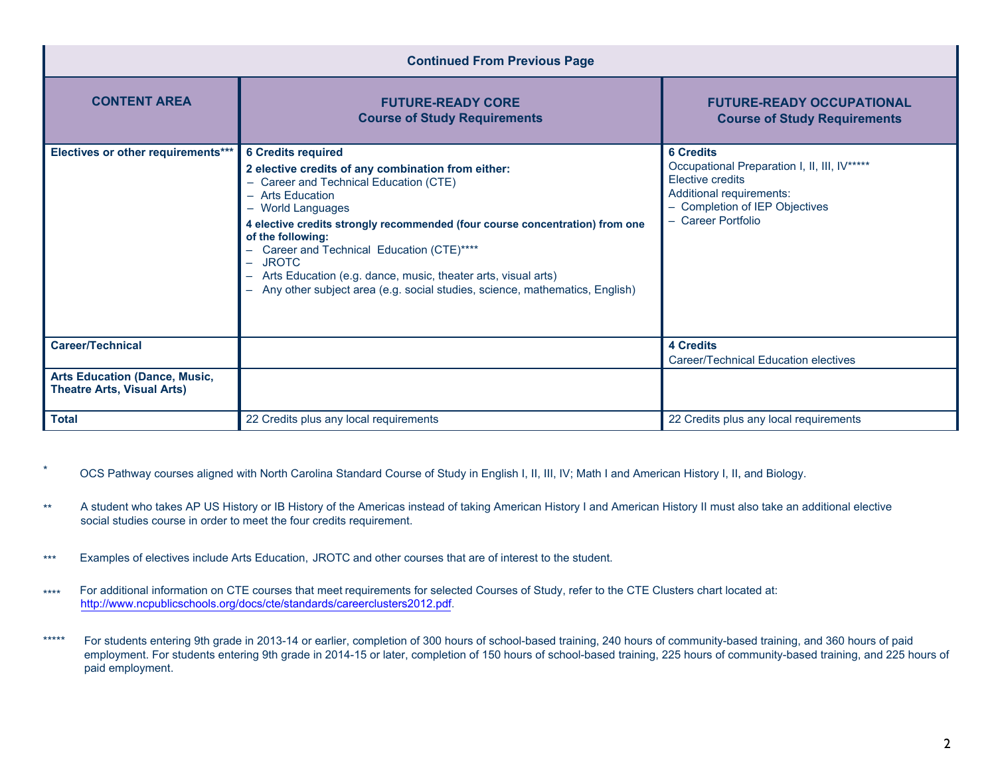| <b>Continued From Previous Page</b>                                       |                                                                                                                                                                                                                                                                                                                                                                                                                                                                                       |                                                                                                                                                                          |  |  |
|---------------------------------------------------------------------------|---------------------------------------------------------------------------------------------------------------------------------------------------------------------------------------------------------------------------------------------------------------------------------------------------------------------------------------------------------------------------------------------------------------------------------------------------------------------------------------|--------------------------------------------------------------------------------------------------------------------------------------------------------------------------|--|--|
| <b>CONTENT AREA</b>                                                       | <b>FUTURE-READY CORE</b><br><b>Course of Study Requirements</b>                                                                                                                                                                                                                                                                                                                                                                                                                       | <b>FUTURE-READY OCCUPATIONAL</b><br><b>Course of Study Requirements</b>                                                                                                  |  |  |
| Electives or other requirements***                                        | <b>6 Credits required</b><br>2 elective credits of any combination from either:<br>- Career and Technical Education (CTE)<br>$-$ Arts Education<br>- World Languages<br>4 elective credits strongly recommended (four course concentration) from one<br>of the following:<br>Career and Technical Education (CTE)****<br><b>JROTC</b><br>Arts Education (e.g. dance, music, theater arts, visual arts)<br>Any other subject area (e.g. social studies, science, mathematics, English) | <b>6 Credits</b><br>Occupational Preparation I, II, III, IV*****<br>Elective credits<br>Additional requirements:<br>- Completion of IEP Objectives<br>- Career Portfolio |  |  |
| <b>Career/Technical</b>                                                   |                                                                                                                                                                                                                                                                                                                                                                                                                                                                                       | <b>4 Credits</b><br>Career/Technical Education electives                                                                                                                 |  |  |
| <b>Arts Education (Dance, Music,</b><br><b>Theatre Arts, Visual Arts)</b> |                                                                                                                                                                                                                                                                                                                                                                                                                                                                                       |                                                                                                                                                                          |  |  |
| <b>Total</b>                                                              | 22 Credits plus any local requirements                                                                                                                                                                                                                                                                                                                                                                                                                                                | 22 Credits plus any local requirements                                                                                                                                   |  |  |

- \*OCS Pathway courses aligned with North Carolina Standard Course of Study in English I, II, III, IV; Math I and American History I, II, and Biology. .
- \*\* A student who takes AP US History or IB History of the Americas instead of taking American History I and American History II must also take an additional elective social studies course in order to meet the four credits requirement.
- \*\*\*Examples of electives include Arts Education, JROTC and other courses that are of interest to the student.
- \*\*\*\* For additional information on CTE courses that meet requirements for selected Courses of Study, refer to the CTE Clusters chart located at: http://www.ncpublicschools.org/docs/cte/standards/careerclusters2012.pdf.
- \*\*\*\*\* For students entering 9th grade in 2013-14 or earlier, completion of 300 hours of school-based training, 240 hours of community-based training, and 360 hours of paid employment. For students entering 9th grade in 2014-15 or later, completion of 150 hours of school-based training, 225 hours of community-based training, and 225 hours of paid employment.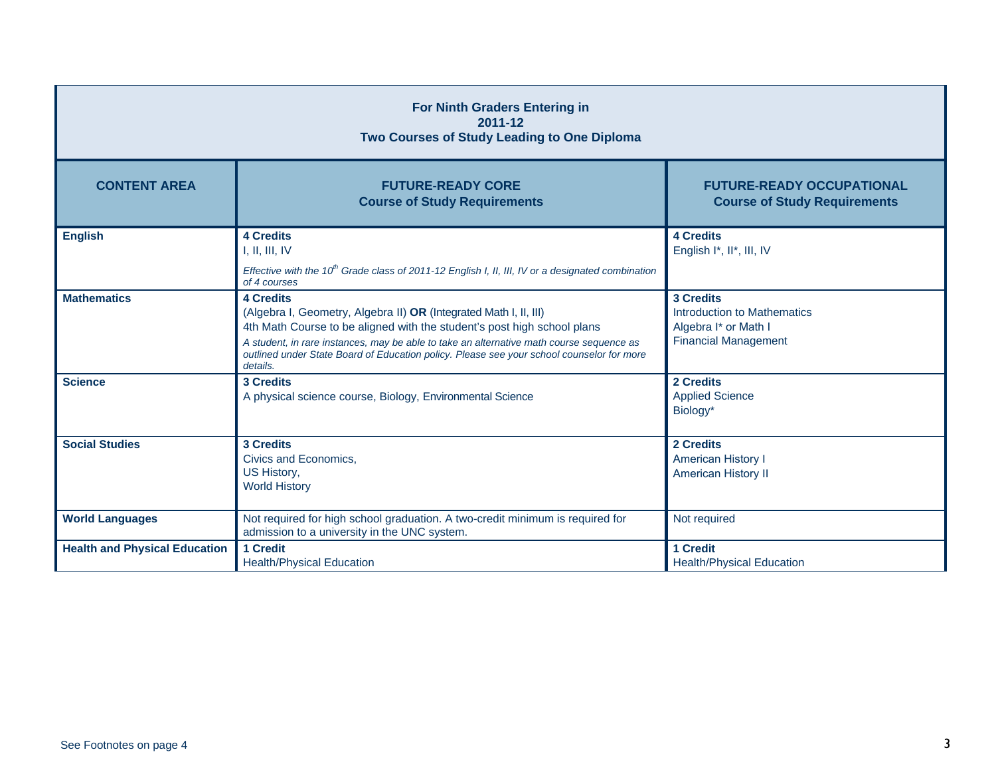| <b>For Ninth Graders Entering in</b><br>2011-12<br>Two Courses of Study Leading to One Diploma |                                                                                                                                                                                                                                                                                                                                                                       |                                                                                                 |  |  |
|------------------------------------------------------------------------------------------------|-----------------------------------------------------------------------------------------------------------------------------------------------------------------------------------------------------------------------------------------------------------------------------------------------------------------------------------------------------------------------|-------------------------------------------------------------------------------------------------|--|--|
| <b>CONTENT AREA</b>                                                                            | <b>FUTURE-READY CORE</b><br><b>Course of Study Requirements</b>                                                                                                                                                                                                                                                                                                       | <b>FUTURE-READY OCCUPATIONAL</b><br><b>Course of Study Requirements</b>                         |  |  |
| <b>English</b>                                                                                 | <b>4 Credits</b><br>1, II, III, IV<br>Effective with the 10 <sup>th</sup> Grade class of 2011-12 English I, II, III, IV or a designated combination<br>of 4 courses                                                                                                                                                                                                   | <b>4 Credits</b><br>English I*, II*, III, IV                                                    |  |  |
| <b>Mathematics</b>                                                                             | <b>4 Credits</b><br>(Algebra I, Geometry, Algebra II) OR (Integrated Math I, II, III)<br>4th Math Course to be aligned with the student's post high school plans<br>A student, in rare instances, may be able to take an alternative math course sequence as<br>outlined under State Board of Education policy. Please see your school counselor for more<br>details. | 3 Credits<br>Introduction to Mathematics<br>Algebra I* or Math I<br><b>Financial Management</b> |  |  |
| <b>Science</b>                                                                                 | <b>3 Credits</b><br>A physical science course, Biology, Environmental Science                                                                                                                                                                                                                                                                                         | 2 Credits<br><b>Applied Science</b><br>Biology*                                                 |  |  |
| <b>Social Studies</b>                                                                          | <b>3 Credits</b><br>Civics and Economics,<br>US History,<br><b>World History</b>                                                                                                                                                                                                                                                                                      | 2 Credits<br><b>American History I</b><br>American History II                                   |  |  |
| <b>World Languages</b>                                                                         | Not required for high school graduation. A two-credit minimum is required for<br>admission to a university in the UNC system.                                                                                                                                                                                                                                         | Not required                                                                                    |  |  |
| <b>Health and Physical Education</b>                                                           | 1 Credit<br><b>Health/Physical Education</b>                                                                                                                                                                                                                                                                                                                          | 1 Credit<br><b>Health/Physical Education</b>                                                    |  |  |